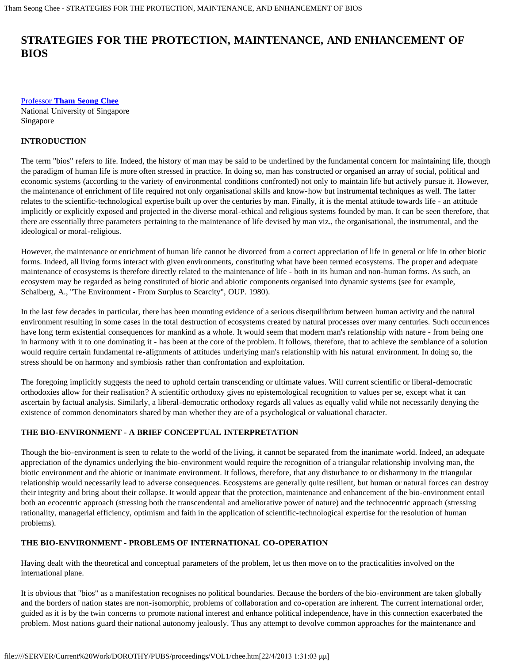# **STRATEGIES FOR THE PROTECTION, MAINTENANCE, AND ENHANCEMENT OF BIOS**

[Professor](#page-7-0) **[Tham Seong Chee](#page-7-0)** National University of Singapore Singapore

## **INTRODUCTION**

The term "bios" refers to life. Indeed, the history of man may be said to be underlined by the fundamental concern for maintaining life, though the paradigm of human life is more often stressed in practice. In doing so, man has constructed or organised an array of social, political and economic systems (according to the variety of environmental conditions confronted) not only to maintain life but actively pursue it. However, the maintenance of enrichment of life required not only organisational skills and know-how but instrumental techniques as well. The latter relates to the scientific-technological expertise built up over the centuries by man. Finally, it is the mental attitude towards life - an attitude implicitly or explicitly exposed and projected in the diverse moral-ethical and religious systems founded by man. It can be seen therefore, that there are essentially three parameters pertaining to the maintenance of life devised by man viz., the organisational, the instrumental, and the ideological or moral-religious.

However, the maintenance or enrichment of human life cannot be divorced from a correct appreciation of life in general or life in other biotic forms. Indeed, all living forms interact with given environments, constituting what have been termed ecosystems. The proper and adequate maintenance of ecosystems is therefore directly related to the maintenance of life - both in its human and non-human forms. As such, an ecosystem may be regarded as being constituted of biotic and abiotic components organised into dynamic systems (see for example, Schaiberg, A., "The Environment - From Surplus to Scarcity", OUP. 1980).

In the last few decades in particular, there has been mounting evidence of a serious disequilibrium between human activity and the natural environment resulting in some cases in the total destruction of ecosystems created by natural processes over many centuries. Such occurrences have long term existential consequences for mankind as a whole. It would seem that modern man's relationship with nature - from being one in harmony with it to one dominating it - has been at the core of the problem. It follows, therefore, that to achieve the semblance of a solution would require certain fundamental re-alignments of attitudes underlying man's relationship with his natural environment. In doing so, the stress should be on harmony and symbiosis rather than confrontation and exploitation.

The foregoing implicitly suggests the need to uphold certain transcending or ultimate values. Will current scientific or liberal-democratic orthodoxies allow for their realisation? A scientific orthodoxy gives no epistemological recognition to values per se, except what it can ascertain by factual analysis. Similarly, a liberal-democratic orthodoxy regards all values as equally valid while not necessarily denying the existence of common denominators shared by man whether they are of a psychological or valuational character.

## **THE BIO-ENVIRONMENT - A BRIEF CONCEPTUAL INTERPRETATION**

Though the bio-environment is seen to relate to the world of the living, it cannot be separated from the inanimate world. Indeed, an adequate appreciation of the dynamics underlying the bio-environment would require the recognition of a triangular relationship involving man, the biotic environment and the abiotic or inanimate environment. It follows, therefore, that any disturbance to or disharmony in the triangular relationship would necessarily lead to adverse consequences. Ecosystems are generally quite resilient, but human or natural forces can destroy their integrity and bring about their collapse. It would appear that the protection, maintenance and enhancement of the bio-environment entail both an ecocentric approach (stressing both the transcendental and ameliorative power of nature) and the technocentric approach (stressing rationality, managerial efficiency, optimism and faith in the application of scientific-technological expertise for the resolution of human problems).

## **THE BIO-ENVIRONMENT - PROBLEMS OF INTERNATIONAL CO-OPERATION**

Having dealt with the theoretical and conceptual parameters of the problem, let us then move on to the practicalities involved on the international plane.

It is obvious that "bios" as a manifestation recognises no political boundaries. Because the borders of the bio-environment are taken globally and the borders of nation states are non-isomorphic, problems of collaboration and co-operation are inherent. The current international order, guided as it is by the twin concerns to promote national interest and enhance political independence, have in this connection exacerbated the problem. Most nations guard their national autonomy jealously. Thus any attempt to devolve common approaches for the maintenance and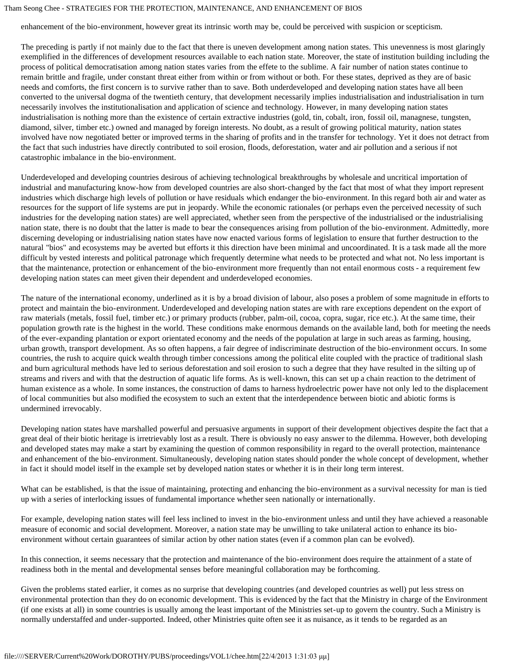enhancement of the bio-environment, however great its intrinsic worth may be, could be perceived with suspicion or scepticism.

The preceding is partly if not mainly due to the fact that there is uneven development among nation states. This unevenness is most glaringly exemplified in the differences of development resources available to each nation state. Moreover, the state of institution building including the process of political democratisation among nation states varies from the effete to the sublime. A fair number of nation states continue to remain brittle and fragile, under constant threat either from within or from without or both. For these states, deprived as they are of basic needs and comforts, the first concern is to survive rather than to save. Both underdeveloped and developing nation states have all been converted to the universal dogma of the twentieth century, that development necessarily implies industrialisation and industrialisation in turn necessarily involves the institutionalisation and application of science and technology. However, in many developing nation states industrialisation is nothing more than the existence of certain extractive industries (gold, tin, cobalt, iron, fossil oil, managnese, tungsten, diamond, silver, timber etc.) owned and managed by foreign interests. No doubt, as a result of growing political maturity, nation states involved have now negotiated better or improved terms in the sharing of profits and in the transfer for technology. Yet it does not detract from the fact that such industries have directly contributed to soil erosion, floods, deforestation, water and air pollution and a serious if not catastrophic imbalance in the bio-environment.

Underdeveloped and developing countries desirous of achieving technological breakthroughs by wholesale and uncritical importation of industrial and manufacturing know-how from developed countries are also short-changed by the fact that most of what they import represent industries which discharge high levels of pollution or have residuals which endanger the bio-environment. In this regard both air and water as resources for the support of life systems are put in jeopardy. While the economic rationales (or perhaps even the perceived necessity of such industries for the developing nation states) are well appreciated, whether seen from the perspective of the industrialised or the industrialising nation state, there is no doubt that the latter is made to bear the consequences arising from pollution of the bio-environment. Admittedly, more discerning developing or industrialising nation states have now enacted various forms of legislation to ensure that further destruction to the natural "bios" and ecosystems may be averted but efforts it this direction have been minimal and uncoordinated. It is a task made all the more difficult by vested interests and political patronage which frequently determine what needs to be protected and what not. No less important is that the maintenance, protection or enhancement of the bio-environment more frequently than not entail enormous costs - a requirement few developing nation states can meet given their dependent and underdeveloped economies.

The nature of the international economy, underlined as it is by a broad division of labour, also poses a problem of some magnitude in efforts to protect and maintain the bio-environment. Underdeveloped and developing nation states are with rare exceptions dependent on the export of raw materials (metals, fossil fuel, timber etc.) or primary products (rubber, palm-oil, cocoa, copra, sugar, rice etc.). At the same time, their population growth rate is the highest in the world. These conditions make enormous demands on the available land, both for meeting the needs of the ever-expanding plantation or export orientated economy and the needs of the population at large in such areas as farming, housing, urban growth, transport development. As so often happens, a fair degree of indiscriminate destruction of the bio-environment occurs. In some countries, the rush to acquire quick wealth through timber concessions among the political elite coupled with the practice of traditional slash and burn agricultural methods have led to serious deforestation and soil erosion to such a degree that they have resulted in the silting up of streams and rivers and with that the destruction of aquatic life forms. As is well-known, this can set up a chain reaction to the detriment of human existence as a whole. In some instances, the construction of dams to harness hydroelectric power have not only led to the displacement of local communities but also modified the ecosystem to such an extent that the interdependence between biotic and abiotic forms is undermined irrevocably.

Developing nation states have marshalled powerful and persuasive arguments in support of their development objectives despite the fact that a great deal of their biotic heritage is irretrievably lost as a result. There is obviously no easy answer to the dilemma. However, both developing and developed states may make a start by examining the question of common responsibility in regard to the overall protection, maintenance and enhancement of the bio-environment. Simultaneously, developing nation states should ponder the whole concept of development, whether in fact it should model itself in the example set by developed nation states or whether it is in their long term interest.

What can be established, is that the issue of maintaining, protecting and enhancing the bio-environment as a survival necessity for man is tied up with a series of interlocking issues of fundamental importance whether seen nationally or internationally.

For example, developing nation states will feel less inclined to invest in the bio-environment unless and until they have achieved a reasonable measure of economic and social development. Moreover, a nation state may be unwilling to take unilateral action to enhance its bioenvironment without certain guarantees of similar action by other nation states (even if a common plan can be evolved).

In this connection, it seems necessary that the protection and maintenance of the bio-environment does require the attainment of a state of readiness both in the mental and developmental senses before meaningful collaboration may be forthcoming.

Given the problems stated earlier, it comes as no surprise that developing countries (and developed countries as well) put less stress on environmental protection than they do on economic development. This is evidenced by the fact that the Ministry in charge of the Environment (if one exists at all) in some countries is usually among the least important of the Ministries set-up to govern the country. Such a Ministry is normally understaffed and under-supported. Indeed, other Ministries quite often see it as nuisance, as it tends to be regarded as an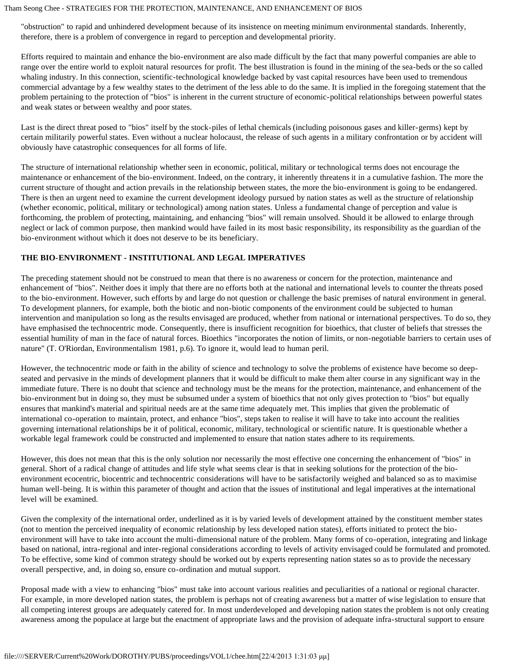"obstruction" to rapid and unhindered development because of its insistence on meeting minimum environmental standards. Inherently, therefore, there is a problem of convergence in regard to perception and developmental priority.

Efforts required to maintain and enhance the bio-environment are also made difficult by the fact that many powerful companies are able to range over the entire world to exploit natural resources for profit. The best illustration is found in the mining of the sea-beds or the so called whaling industry. In this connection, scientific-technological knowledge backed by vast capital resources have been used to tremendous commercial advantage by a few wealthy states to the detriment of the less able to do the same. It is implied in the foregoing statement that the problem pertaining to the protection of "bios" is inherent in the current structure of economic-political relationships between powerful states and weak states or between wealthy and poor states.

Last is the direct threat posed to "bios" itself by the stock-piles of lethal chemicals (including poisonous gases and killer-germs) kept by certain militarily powerful states. Even without a nuclear holocaust, the release of such agents in a military confrontation or by accident will obviously have catastrophic consequences for all forms of life.

The structure of international relationship whether seen in economic, political, military or technological terms does not encourage the maintenance or enhancement of the bio-environment. Indeed, on the contrary, it inherently threatens it in a cumulative fashion. The more the current structure of thought and action prevails in the relationship between states, the more the bio-environment is going to be endangered. There is then an urgent need to examine the current development ideology pursued by nation states as well as the structure of relationship (whether economic, political, military or technological) among nation states. Unless a fundamental change of perception and value is forthcoming, the problem of protecting, maintaining, and enhancing "bios" will remain unsolved. Should it be allowed to enlarge through neglect or lack of common purpose, then mankind would have failed in its most basic responsibility, its responsibility as the guardian of the bio-environment without which it does not deserve to be its beneficiary.

## **THE BIO-ENVIRONMENT - INSTITUTIONAL AND LEGAL IMPERATIVES**

The preceding statement should not be construed to mean that there is no awareness or concern for the protection, maintenance and enhancement of "bios". Neither does it imply that there are no efforts both at the national and international levels to counter the threats posed to the bio-environment. However, such efforts by and large do not question or challenge the basic premises of natural environment in general. To development planners, for example, both the biotic and non-biotic components of the environment could be subjected to human intervention and manipulation so long as the results envisaged are produced, whether from national or international perspectives. To do so, they have emphasised the technocentric mode. Consequently, there is insufficient recognition for bioethics, that cluster of beliefs that stresses the essential humility of man in the face of natural forces. Bioethics "incorporates the notion of limits, or non-negotiable barriers to certain uses of nature" (T. O'Riordan, Environmentalism 1981, p.6). To ignore it, would lead to human peril.

However, the technocentric mode or faith in the ability of science and technology to solve the problems of existence have become so deepseated and pervasive in the minds of development planners that it would be difficult to make them alter course in any significant way in the immediate future. There is no doubt that science and technology must be the means for the protection, maintenance, and enhancement of the bio-environment but in doing so, they must be subsumed under a system of bioethics that not only gives protection to "bios" but equally ensures that mankind's material and spiritual needs are at the same time adequately met. This implies that given the problematic of international co-operation to maintain, protect, and enhance "bios", steps taken to realise it will have to take into account the realities governing international relationships be it of political, economic, military, technological or scientific nature. It is questionable whether a workable legal framework could be constructed and implemented to ensure that nation states adhere to its requirements.

However, this does not mean that this is the only solution nor necessarily the most effective one concerning the enhancement of "bios" in general. Short of a radical change of attitudes and life style what seems clear is that in seeking solutions for the protection of the bioenvironment ecocentric, biocentric and technocentric considerations will have to be satisfactorily weighed and balanced so as to maximise human well-being. It is within this parameter of thought and action that the issues of institutional and legal imperatives at the international level will be examined.

Given the complexity of the international order, underlined as it is by varied levels of development attained by the constituent member states (not to mention the perceived inequality of economic relationship by less developed nation states), efforts initiated to protect the bioenvironment will have to take into account the multi-dimensional nature of the problem. Many forms of co-operation, integrating and linkage based on national, intra-regional and inter-regional considerations according to levels of activity envisaged could be formulated and promoted. To be effective, some kind of common strategy should be worked out by experts representing nation states so as to provide the necessary overall perspective, and, in doing so, ensure co-ordination and mutual support.

Proposal made with a view to enhancing "bios" must take into account various realities and peculiarities of a national or regional character. For example, in more developed nation states, the problem is perhaps not of creating awareness but a matter of wise legislation to ensure that all competing interest groups are adequately catered for. In most underdeveloped and developing nation states the problem is not only creating awareness among the populace at large but the enactment of appropriate laws and the provision of adequate infra-structural support to ensure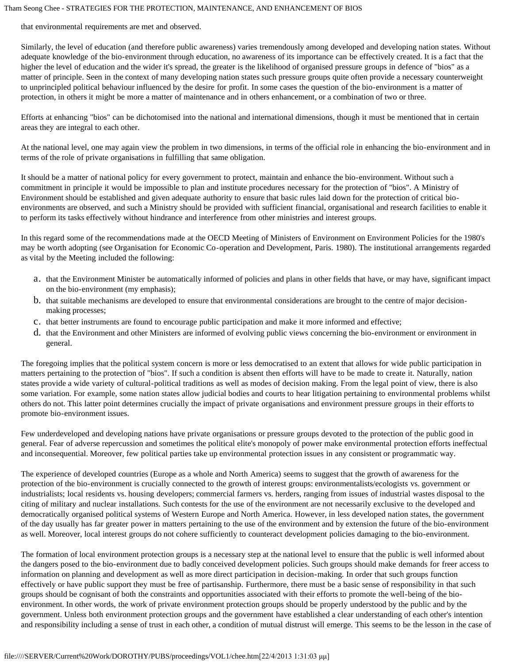that environmental requirements are met and observed.

Similarly, the level of education (and therefore public awareness) varies tremendously among developed and developing nation states. Without adequate knowledge of the bio-environment through education, no awareness of its importance can be effectively created. It is a fact that the higher the level of education and the wider it's spread, the greater is the likelihood of organised pressure groups in defence of "bios" as a matter of principle. Seen in the context of many developing nation states such pressure groups quite often provide a necessary counterweight to unprincipled political behaviour influenced by the desire for profit. In some cases the question of the bio-environment is a matter of protection, in others it might be more a matter of maintenance and in others enhancement, or a combination of two or three.

Efforts at enhancing "bios" can be dichotomised into the national and international dimensions, though it must be mentioned that in certain areas they are integral to each other.

At the national level, one may again view the problem in two dimensions, in terms of the official role in enhancing the bio-environment and in terms of the role of private organisations in fulfilling that same obligation.

It should be a matter of national policy for every government to protect, maintain and enhance the bio-environment. Without such a commitment in principle it would be impossible to plan and institute procedures necessary for the protection of "bios". A Ministry of Environment should be established and given adequate authority to ensure that basic rules laid down for the protection of critical bioenvironments are observed, and such a Ministry should be provided with sufficient financial, organisational and research facilities to enable it to perform its tasks effectively without hindrance and interference from other ministries and interest groups.

In this regard some of the recommendations made at the OECD Meeting of Ministers of Environment on Environment Policies for the 1980's may be worth adopting (see Organisation for Economic Co-operation and Development, Paris. 1980). The institutional arrangements regarded as vital by the Meeting included the following:

- a. that the Environment Minister be automatically informed of policies and plans in other fields that have, or may have, significant impact on the bio-environment (my emphasis);
- b. that suitable mechanisms are developed to ensure that environmental considerations are brought to the centre of major decisionmaking processes;
- c. that better instruments are found to encourage public participation and make it more informed and effective;
- d. that the Environment and other Ministers are informed of evolving public views concerning the bio-environment or environment in general.

The foregoing implies that the political system concern is more or less democratised to an extent that allows for wide public participation in matters pertaining to the protection of "bios". If such a condition is absent then efforts will have to be made to create it. Naturally, nation states provide a wide variety of cultural-political traditions as well as modes of decision making. From the legal point of view, there is also some variation. For example, some nation states allow judicial bodies and courts to hear litigation pertaining to environmental problems whilst others do not. This latter point determines crucially the impact of private organisations and environment pressure groups in their efforts to promote bio-environment issues.

Few underdeveloped and developing nations have private organisations or pressure groups devoted to the protection of the public good in general. Fear of adverse repercussion and sometimes the political elite's monopoly of power make environmental protection efforts ineffectual and inconsequential. Moreover, few political parties take up environmental protection issues in any consistent or programmatic way.

The experience of developed countries (Europe as a whole and North America) seems to suggest that the growth of awareness for the protection of the bio-environment is crucially connected to the growth of interest groups: environmentalists/ecologists vs. government or industrialists; local residents vs. housing developers; commercial farmers vs. herders, ranging from issues of industrial wastes disposal to the citing of military and nuclear installations. Such contests for the use of the environment are not necessarily exclusive to the developed and democratically organised political systems of Western Europe and North America. However, in less developed nation states, the government of the day usually has far greater power in matters pertaining to the use of the environment and by extension the future of the bio-environment as well. Moreover, local interest groups do not cohere sufficiently to counteract development policies damaging to the bio-environment.

The formation of local environment protection groups is a necessary step at the national level to ensure that the public is well informed about the dangers posed to the bio-environment due to badly conceived development policies. Such groups should make demands for freer access to information on planning and development as well as more direct participation in decision-making. In order that such groups function effectively or have public support they must be free of partisanship. Furthermore, there must be a basic sense of responsibility in that such groups should be cognisant of both the constraints and opportunities associated with their efforts to promote the well-being of the bioenvironment. In other words, the work of private environment protection groups should be properly understood by the public and by the government. Unless both environment protection groups and the government have established a clear understanding of each other's intention and responsibility including a sense of trust in each other, a condition of mutual distrust will emerge. This seems to be the lesson in the case of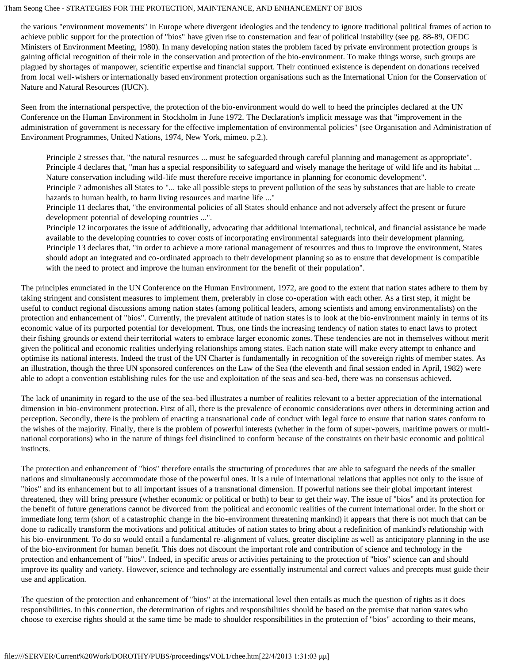the various "environment movements" in Europe where divergent ideologies and the tendency to ignore traditional political frames of action to achieve public support for the protection of "bios" have given rise to consternation and fear of political instability (see pg. 88-89, OEDC Ministers of Environment Meeting, 1980). In many developing nation states the problem faced by private environment protection groups is gaining official recognition of their role in the conservation and protection of the bio-environment. To make things worse, such groups are plagued by shortages of manpower, scientific expertise and financial support. Their continued existence is dependent on donations received from local well-wishers or internationally based environment protection organisations such as the International Union for the Conservation of Nature and Natural Resources (IUCN).

Seen from the international perspective, the protection of the bio-environment would do well to heed the principles declared at the UN Conference on the Human Environment in Stockholm in June 1972. The Declaration's implicit message was that "improvement in the administration of government is necessary for the effective implementation of environmental policies" (see Organisation and Administration of Environment Programmes, United Nations, 1974, New York, mimeo. p.2.).

Principle 2 stresses that, "the natural resources ... must be safeguarded through careful planning and management as appropriate". Principle 4 declares that, "man has a special responsibility to safeguard and wisely manage the heritage of wild life and its habitat ... Nature conservation including wild-life must therefore receive importance in planning for economic development". Principle 7 admonishes all States to "... take all possible steps to prevent pollution of the seas by substances that are liable to create hazards to human health, to harm living resources and marine life ..."

Principle 11 declares that, "the environmental policies of all States should enhance and not adversely affect the present or future development potential of developing countries ...".

Principle 12 incorporates the issue of additionally, advocating that additional international, technical, and financial assistance be made available to the developing countries to cover costs of incorporating environmental safeguards into their development planning. Principle 13 declares that, "in order to achieve a more rational management of resources and thus to improve the environment, States should adopt an integrated and co-ordinated approach to their development planning so as to ensure that development is compatible with the need to protect and improve the human environment for the benefit of their population".

The principles enunciated in the UN Conference on the Human Environment, 1972, are good to the extent that nation states adhere to them by taking stringent and consistent measures to implement them, preferably in close co-operation with each other. As a first step, it might be useful to conduct regional discussions among nation states (among political leaders, among scientists and among environmentalists) on the protection and enhancement of "bios". Currently, the prevalent attitude of nation states is to look at the bio-environment mainly in terms of its economic value of its purported potential for development. Thus, one finds the increasing tendency of nation states to enact laws to protect their fishing grounds or extend their territorial waters to embrace larger economic zones. These tendencies are not in themselves without merit given the political and economic realities underlying relationships among states. Each nation state will make every attempt to enhance and optimise its national interests. Indeed the trust of the UN Charter is fundamentally in recognition of the sovereign rights of member states. As an illustration, though the three UN sponsored conferences on the Law of the Sea (the eleventh and final session ended in April, 1982) were able to adopt a convention establishing rules for the use and exploitation of the seas and sea-bed, there was no consensus achieved.

The lack of unanimity in regard to the use of the sea-bed illustrates a number of realities relevant to a better appreciation of the international dimension in bio-environment protection. First of all, there is the prevalence of economic considerations over others in determining action and perception. Secondly, there is the problem of enacting a transnational code of conduct with legal force to ensure that nation states conform to the wishes of the majority. Finally, there is the problem of powerful interests (whether in the form of super-powers, maritime powers or multinational corporations) who in the nature of things feel disinclined to conform because of the constraints on their basic economic and political instincts.

The protection and enhancement of "bios" therefore entails the structuring of procedures that are able to safeguard the needs of the smaller nations and simultaneously accommodate those of the powerful ones. It is a rule of international relations that applies not only to the issue of "bios" and its enhancement but to all important issues of a transnational dimension. If powerful nations see their global important interest threatened, they will bring pressure (whether economic or political or both) to bear to get their way. The issue of "bios" and its protection for the benefit of future generations cannot be divorced from the political and economic realities of the current international order. In the short or immediate long term (short of a catastrophic change in the bio-environment threatening mankind) it appears that there is not much that can be done to radically transform the motivations and political attitudes of nation states to bring about a redefinition of mankind's relationship with his bio-environment. To do so would entail a fundamental re-alignment of values, greater discipline as well as anticipatory planning in the use of the bio-environment for human benefit. This does not discount the important role and contribution of science and technology in the protection and enhancement of "bios". Indeed, in specific areas or activities pertaining to the protection of "bios" science can and should improve its quality and variety. However, science and technology are essentially instrumental and correct values and precepts must guide their use and application.

The question of the protection and enhancement of "bios" at the international level then entails as much the question of rights as it does responsibilities. In this connection, the determination of rights and responsibilities should be based on the premise that nation states who choose to exercise rights should at the same time be made to shoulder responsibilities in the protection of "bios" according to their means,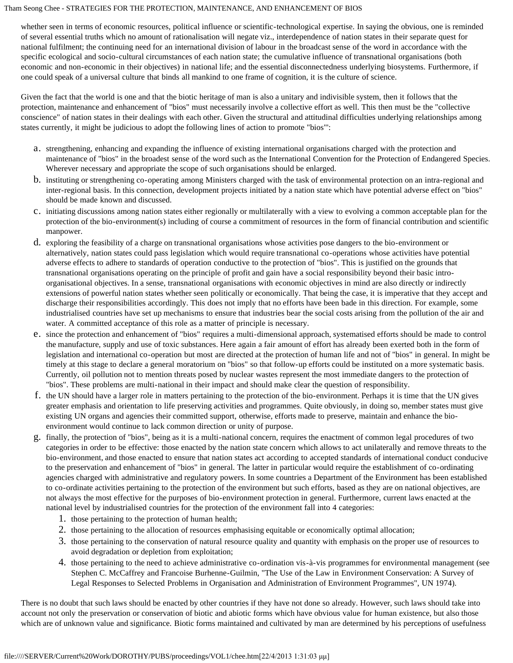whether seen in terms of economic resources, political influence or scientific-technological expertise. In saying the obvious, one is reminded of several essential truths which no amount of rationalisation will negate viz., interdependence of nation states in their separate quest for national fulfilment; the continuing need for an international division of labour in the broadcast sense of the word in accordance with the specific ecological and socio-cultural circumstances of each nation state; the cumulative influence of transnational organisations (both economic and non-economic in their objectives) in national life; and the essential disconnectedness underlying biosystems. Furthermore, if one could speak of a universal culture that binds all mankind to one frame of cognition, it is the culture of science.

Given the fact that the world is one and that the biotic heritage of man is also a unitary and indivisible system, then it follows that the protection, maintenance and enhancement of "bios" must necessarily involve a collective effort as well. This then must be the "collective conscience" of nation states in their dealings with each other. Given the structural and attitudinal difficulties underlying relationships among states currently, it might be judicious to adopt the following lines of action to promote "bios"':

- a. strengthening, enhancing and expanding the influence of existing international organisations charged with the protection and maintenance of "bios" in the broadest sense of the word such as the International Convention for the Protection of Endangered Species. Wherever necessary and appropriate the scope of such organisations should be enlarged.
- b. instituting or strengthening co-operating among Ministers charged with the task of environmental protection on an intra-regional and inter-regional basis. In this connection, development projects initiated by a nation state which have potential adverse effect on "bios" should be made known and discussed.
- c. initiating discussions among nation states either regionally or multilaterally with a view to evolving a common acceptable plan for the protection of the bio-environment(s) including of course a commitment of resources in the form of financial contribution and scientific manpower.
- d. exploring the feasibility of a charge on transnational organisations whose activities pose dangers to the bio-environment or alternatively, nation states could pass legislation which would require transnational co-operations whose activities have potential adverse effects to adhere to standards of operation conductive to the protection of "bios". This is justified on the grounds that transnational organisations operating on the principle of profit and gain have a social responsibility beyond their basic introorganisational objectives. In a sense, transnational organisations with economic objectives in mind are also directly or indirectly extensions of powerful nation states whether seen politically or economically. That being the case, it is imperative that they accept and discharge their responsibilities accordingly. This does not imply that no efforts have been bade in this direction. For example, some industrialised countries have set up mechanisms to ensure that industries bear the social costs arising from the pollution of the air and water. A committed acceptance of this role as a matter of principle is necessary.
- e. since the protection and enhancement of "bios" requires a multi-dimensional approach, systematised efforts should be made to control the manufacture, supply and use of toxic substances. Here again a fair amount of effort has already been exerted both in the form of legislation and international co-operation but most are directed at the protection of human life and not of "bios" in general. In might be timely at this stage to declare a general moratorium on "bios" so that follow-up efforts could be instituted on a more systematic basis. Currently, oil pollution not to mention threats posed by nuclear wastes represent the most immediate dangers to the protection of "bios". These problems are multi-national in their impact and should make clear the question of responsibility.
- f. the UN should have a larger role in matters pertaining to the protection of the bio-environment. Perhaps it is time that the UN gives greater emphasis and orientation to life preserving activities and programmes. Quite obviously, in doing so, member states must give existing UN organs and agencies their committed support, otherwise, efforts made to preserve, maintain and enhance the bioenvironment would continue to lack common direction or unity of purpose.
- g. finally, the protection of "bios", being as it is a multi-national concern, requires the enactment of common legal procedures of two categories in order to be effective: those enacted by the nation state concern which allows to act unilaterally and remove threats to the bio-environment, and those enacted to ensure that nation states act according to accepted standards of international conduct conducive to the preservation and enhancement of "bios" in general. The latter in particular would require the establishment of co-ordinating agencies charged with administrative and regulatory powers. In some countries a Department of the Environment has been established to co-ordinate activities pertaining to the protection of the environment but such efforts, based as they are on national objectives, are not always the most effective for the purposes of bio-environment protection in general. Furthermore, current laws enacted at the national level by industrialised countries for the protection of the environment fall into 4 categories:
	- 1. those pertaining to the protection of human health;
	- 2. those pertaining to the allocation of resources emphasising equitable or economically optimal allocation;
	- 3. those pertaining to the conservation of natural resource quality and quantity with emphasis on the proper use of resources to avoid degradation or depletion from exploitation;
	- 4. those pertaining to the need to achieve administrative co-ordination vis-à-vis programmes for environmental management (see Stephen C. McCaffrey and Francoise Burhenne-Guilmin, "The Use of the Law in Environment Conservation: A Survey of Legal Responses to Selected Problems in Organisation and Administration of Environment Programmes", UN 1974).

There is no doubt that such laws should be enacted by other countries if they have not done so already. However, such laws should take into account not only the preservation or conservation of biotic and abiotic forms which have obvious value for human existence, but also those which are of unknown value and significance. Biotic forms maintained and cultivated by man are determined by his perceptions of usefulness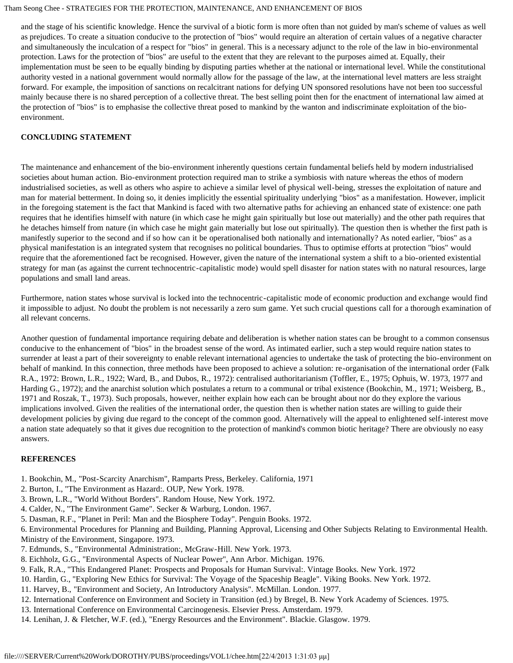and the stage of his scientific knowledge. Hence the survival of a biotic form is more often than not guided by man's scheme of values as well as prejudices. To create a situation conducive to the protection of "bios" would require an alteration of certain values of a negative character and simultaneously the inculcation of a respect for "bios" in general. This is a necessary adjunct to the role of the law in bio-environmental protection. Laws for the protection of "bios" are useful to the extent that they are relevant to the purposes aimed at. Equally, their implementation must be seen to be equally binding by disputing parties whether at the national or international level. While the constitutional authority vested in a national government would normally allow for the passage of the law, at the international level matters are less straight forward. For example, the imposition of sanctions on recalcitrant nations for defying UN sponsored resolutions have not been too successful mainly because there is no shared perception of a collective threat. The best selling point then for the enactment of international law aimed at the protection of "bios" is to emphasise the collective threat posed to mankind by the wanton and indiscriminate exploitation of the bioenvironment.

## **CONCLUDING STATEMENT**

The maintenance and enhancement of the bio-environment inherently questions certain fundamental beliefs held by modern industrialised societies about human action. Bio-environment protection required man to strike a symbiosis with nature whereas the ethos of modern industrialised societies, as well as others who aspire to achieve a similar level of physical well-being, stresses the exploitation of nature and man for material betterment. In doing so, it denies implicitly the essential spirituality underlying "bios" as a manifestation. However, implicit in the foregoing statement is the fact that Mankind is faced with two alternative paths for achieving an enhanced state of existence: one path requires that he identifies himself with nature (in which case he might gain spiritually but lose out materially) and the other path requires that he detaches himself from nature (in which case he might gain materially but lose out spiritually). The question then is whether the first path is manifestly superior to the second and if so how can it be operationalised both nationally and internationally? As noted earlier, "bios" as a physical manifestation is an integrated system that recognises no political boundaries. Thus to optimise efforts at protection "bios" would require that the aforementioned fact be recognised. However, given the nature of the international system a shift to a bio-oriented existential strategy for man (as against the current technocentric-capitalistic mode) would spell disaster for nation states with no natural resources, large populations and small land areas.

Furthermore, nation states whose survival is locked into the technocentric-capitalistic mode of economic production and exchange would find it impossible to adjust. No doubt the problem is not necessarily a zero sum game. Yet such crucial questions call for a thorough examination of all relevant concerns.

Another question of fundamental importance requiring debate and deliberation is whether nation states can be brought to a common consensus conducive to the enhancement of "bios" in the broadest sense of the word. As intimated earlier, such a step would require nation states to surrender at least a part of their sovereignty to enable relevant international agencies to undertake the task of protecting the bio-environment on behalf of mankind. In this connection, three methods have been proposed to achieve a solution: re-organisation of the international order (Falk R.A., 1972: Brown, L.R., 1922; Ward, B., and Dubos, R., 1972): centralised authoritarianism (Toffler, E., 1975; Ophuis, W. 1973, 1977 and Harding G., 1972); and the anarchist solution which postulates a return to a communal or tribal existence (Bookchin, M., 1971; Weisberg, B., 1971 and Roszak, T., 1973). Such proposals, however, neither explain how each can be brought about nor do they explore the various implications involved. Given the realities of the international order, the question then is whether nation states are willing to guide their development policies by giving due regard to the concept of the common good. Alternatively will the appeal to enlightened self-interest move a nation state adequately so that it gives due recognition to the protection of mankind's common biotic heritage? There are obviously no easy answers.

#### **REFERENCES**

- 1. Bookchin, M., "Post-Scarcity Anarchism", Ramparts Press, Berkeley. California, 1971
- 2. Burton, I., "The Environment as Hazard:. OUP, New York. 1978.
- 3. Brown, L.R., "World Without Borders". Random House, New York. 1972.
- 4. Calder, N., "The Environment Game". Secker & Warburg, London. 1967.
- 5. Dasman, R.F., "Planet in Peril: Man and the Biosphere Today". Penguin Books. 1972.
- 6. Environmental Procedures for Planning and Building, Planning Approval, Licensing and Other Subjects Relating to Environmental Health. Ministry of the Environment, Singapore. 1973.
- 7. Edmunds, S., "Environmental Administration:, McGraw-Hill. New York. 1973.
- 8. Eichholz, G.G., "Environmental Aspects of Nuclear Power", Ann Arbor. Michigan. 1976.
- 9. Falk, R.A., "This Endangered Planet: Prospects and Proposals for Human Survival:. Vintage Books. New York. 1972
- 10. Hardin, G., "Exploring New Ethics for Survival: The Voyage of the Spaceship Beagle". Viking Books. New York. 1972.
- 11. Harvey, B., "Environment and Society, An Introductory Analysis". McMillan. London. 1977.
- 12. International Conference on Environment and Society in Transition (ed.) by Bregel, B. New York Academy of Sciences. 1975.
- 13. International Conference on Environmental Carcinogenesis. Elsevier Press. Amsterdam. 1979.
- 14. Lenihan, J. & Fletcher, W.F. (ed.), "Energy Resources and the Environment". Blackie. Glasgow. 1979.